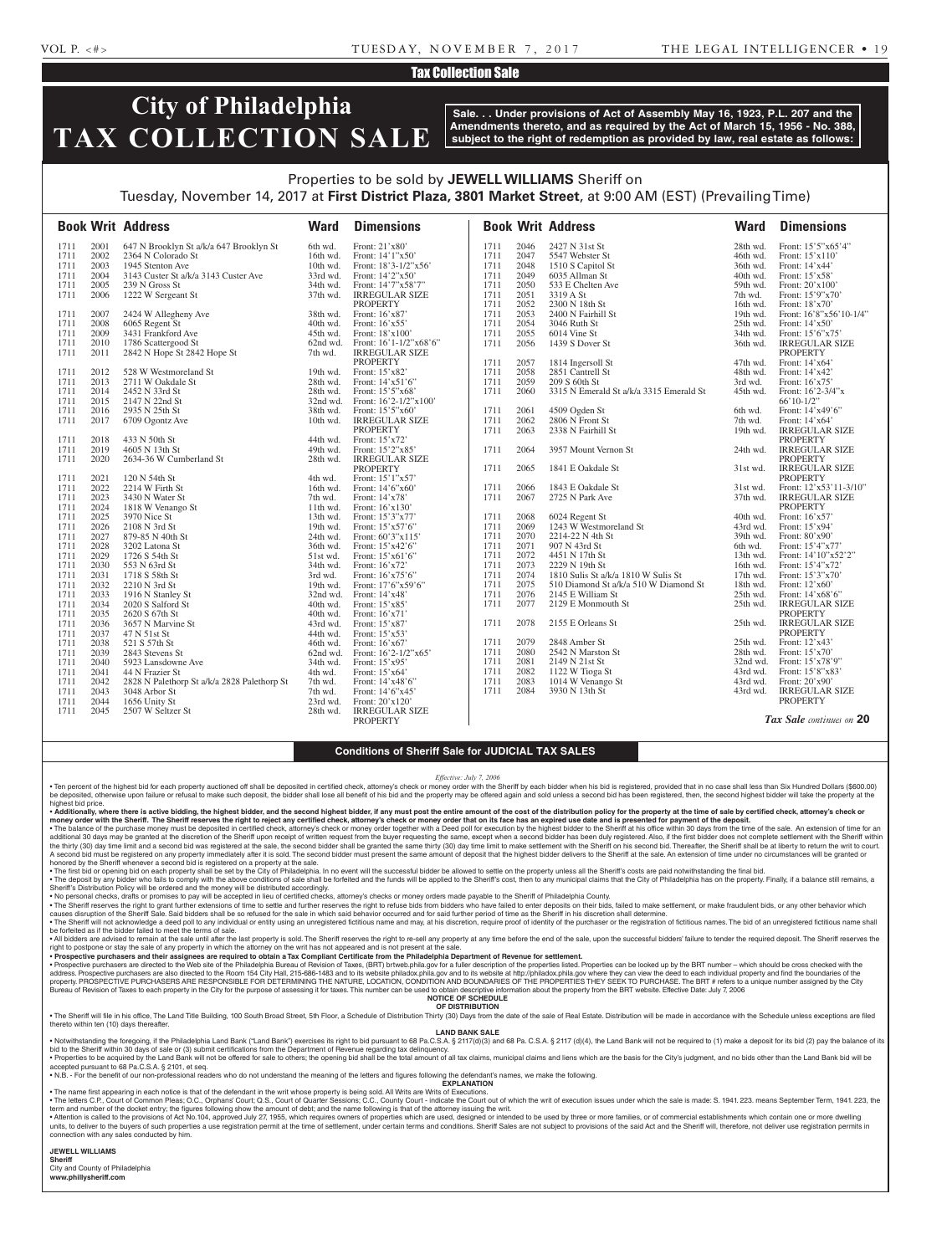## VOL P. <#> TUESDAY, NOVEMBER 7, 2017 THE LEGAL INTELLIGENCER • 19

## Tax Collection Sale

# **City of Philadelphia TAX COLLECTION SALE**

**Sale. . . Under provisions of Act of Assembly May 16, 1923, P.L. 207 and the Amendments thereto, and as required by the Act of March 15, 1956 - No. 388, subject to the right of redemption as provided by law, real estate as follows:**

## Properties to be sold by **JEWELL WILLIAMS** Sheriff on Tuesday, November 14, 2017 at **First District Plaza, 3801 Market Street**, at 9:00 AM (EST) (Prevailing Time)

|              |              | <b>Book Writ Address</b>                                     | <b>Ward</b>        | <b>Dimensions</b>                  |      |      | <b>Book Writ Address</b>                | <b>Ward</b> | <b>Dimensions</b>                        |
|--------------|--------------|--------------------------------------------------------------|--------------------|------------------------------------|------|------|-----------------------------------------|-------------|------------------------------------------|
| 1711         | 2001         | 647 N Brooklyn St a/k/a 647 Brooklyn St                      | 6th wd.            | Front: 21'x80'                     | 1711 | 2046 | 2427 N 31st St                          | 28th wd.    | Front: 15'5"x65'4"                       |
| 1711         | 2002         | 2364 N Colorado St                                           | 16th wd.           | Front: 14'1"x50'                   | 1711 | 2047 | 5547 Webster St                         | 46th wd.    | Front: 15'x110'                          |
| 1711         | 2003         | 1945 Stenton Ave                                             | $10th$ wd.         | Front: $18'3 - 1/2''x56'$          | 1711 | 2048 | 1510 S Capitol St                       | 36th wd.    | Front: 14'x44'                           |
| 1711         | 2004         | 3143 Custer St a/k/a 3143 Custer Ave                         | 33rd wd.           | Front: 14'2"x50"                   | 1711 | 2049 | 6035 Allman St                          | 40th wd.    | Front: 15'x58'                           |
| 1711         | 2005         | 239 N Gross St                                               | 34th wd.           | Front: 14'7"x58'7"                 | 1711 | 2050 | 533 E Chelten Ave                       | 59th wd.    | Front: 20'x100'                          |
| 1711         | 2006         | 1222 W Sergeant St                                           | $37th$ wd.         | <b>IRREGULAR SIZE</b>              | 1711 | 2051 | 3319 A St                               | 7th wd.     | Front: 15'9"x70'                         |
|              |              |                                                              |                    | <b>PROPERTY</b>                    | 1711 | 2052 | 2300 N 18th St                          | 16th wd.    | Front: 18'x70'                           |
| 1711         | 2007         | 2424 W Allegheny Ave                                         | 38th wd.           | Front: 16'x87'                     | 1711 | 2053 | 2400 N Fairhill St                      | 19th wd.    | Front: 16'8"x56'10-1/4"                  |
| 1711         | 2008         | 6065 Regent St                                               | 40th wd.           | Front: 16'x55'                     | 1711 | 2054 | 3046 Ruth St                            | 25th wd.    | Front: $14'x50'$                         |
| 1711         | 2009         | 3431 Frankford Ave                                           | 45th wd.           | Front: 18'x100'                    | 1711 | 2055 | 6014 Vine St                            | 34th wd.    | Front: 15'6"x75'                         |
| 1711         | 2010         | 1786 Scattergood St                                          | 62nd wd.           | Front: $16'1-1/2''x68'6''$         | 1711 | 2056 | 1439 S Dover St                         | 36th wd.    | <b>IRREGULAR SIZE</b>                    |
| 1711         | 2011         | 2842 N Hope St 2842 Hope St                                  | 7th wd.            | <b>IRREGULAR SIZE</b>              |      |      |                                         |             | <b>PROPERTY</b>                          |
|              |              |                                                              |                    | <b>PROPERTY</b>                    | 1711 | 2057 | 1814 Ingersoll St                       | 47th wd.    | Front: 14'x64'                           |
| 1711         | 2012         | 528 W Westmoreland St                                        | 19th wd.           | Front: 15'x82'                     | 1711 | 2058 | 2851 Cantrell St                        | 48th wd.    | Front: 14'x42'                           |
| 1711         | 2013         | 2711 W Oakdale St                                            | 28th wd.           | Front: $14'x51'6''$                | 1711 | 2059 | 209 S 60th St                           | 3rd wd.     | Front: 16'x75'                           |
| 1711         | 2014         | 2452 N 33rd St                                               | 28th wd.           | Front: 15'5"x68"                   | 1711 | 2060 | 3315 N Emerald St a/k/a 3315 Emerald St | 45th wd.    | Front: 16'2-3/4"x                        |
| 1711         | 2015         | 2147 N 22nd St                                               | $32nd$ wd.         | Front: $16'2 - 1/2''x100'$         |      |      |                                         |             | $66'10-1/2"$                             |
| 1711         | 2016         | 2935 N 25th St                                               | 38th wd.           | Front: 15'5"x60                    | 1711 | 2061 | 4509 Ogden St                           | 6th wd.     | Front: 14'x49'6"                         |
| 1711         | 2017         | 6709 Ogontz Ave                                              | 10th wd.           | <b>IRREGULAR SIZE</b>              | 1711 | 2062 | 2806 N Front St                         | 7th wd.     | Front: 14'x64'                           |
|              |              |                                                              |                    | <b>PROPERTY</b>                    | 1711 | 2063 | 2338 N Fairhill St                      | 19th wd.    | <b>IRREGULAR SIZE</b>                    |
| 1711         | 2018         | 433 N 50th St                                                | 44th wd.           | Front: 15'x72'                     |      |      |                                         |             | <b>PROPERTY</b>                          |
| 1711         | 2019         | 4605 N 13th St                                               | 49th wd.           | Front: 15'2"x85'                   | 1711 | 2064 | 3957 Mount Vernon St                    | 24th wd.    | <b>IRREGULAR SIZE</b>                    |
| 1711         | 2020         | 2634-36 W Cumberland St                                      | 28th wd.           | <b>IRREGULAR SIZE</b>              |      |      |                                         |             | <b>PROPERTY</b>                          |
|              |              |                                                              |                    | <b>PROPERTY</b>                    | 1711 | 2065 | 1841 E Oakdale St                       | 31st wd.    | <b>IRREGULAR SIZE</b>                    |
| 1711         | 2021         | 120 N 54th St                                                | 4th wd.            | Front: 15'1"x57'                   |      |      |                                         |             | <b>PROPERTY</b>                          |
| 1711         | 2022         | 2214 W Firth St                                              | 16th wd.           | Front: 14'6"x60"                   | 1711 | 2066 | 1843 E Oakdale St                       | 31st wd.    | Front: 12'x53'11-3/10"                   |
| 1711         | 2023         | 3430 N Water St                                              | 7th wd.            | Front: 14'x78'                     | 1711 | 2067 | 2725 N Park Ave                         | 37th wd.    | <b>IRREGULAR SIZE</b>                    |
| 1711         | 2024         | 1818 W Venango St                                            | $11th$ wd.         | Front: 16'x130'                    |      |      |                                         |             | <b>PROPERTY</b>                          |
| 1711         | 2025         | 3970 Nice St                                                 | 13th wd.           | Front: 15'3"x77'                   | 1711 | 2068 | 6024 Regent St                          | 40th wd.    | Front: $16'x57'$                         |
| 1711         | 2026         | 2108 N 3rd St                                                | 19th wd.           | Front: 15'x57'6"                   | 1711 | 2069 | 1243 W Westmoreland St                  | 43rd wd.    | Front: 15'x94'                           |
| 1711         | 2027         | 879-85 N 40th St                                             | $24th$ wd.         | Front: 60'3"x115'                  | 1711 | 2070 | 2214-22 N 4th St                        | 39th wd.    | Front: $80'x90'$                         |
| 1711         | 2028         | 3202 Latona St                                               | 36th wd.           | Front: $15'x42'6"$                 | 1711 | 2071 | 907 N 43rd St                           | 6th wd.     | Front: 15'4"x77'                         |
| 1711         | 2029         | 1726 S 54th St                                               | 51st wd.           | Front: 15'x61'6"                   | 1711 | 2072 | 4451 N 17th St                          | 13th wd.    | Front: 14'10"x52'2"                      |
| 1711         | 2030         | 553 N 63rd St                                                | $34th$ wd.         | Front: $16'x72'$                   | 1711 | 2073 | 2229 N 19th St                          | 16th wd.    | Front: 15'4"x72"                         |
| 1711         | 2031         | 1718 S 58th St                                               | 3rd wd.            | Front: 16'x75'6"                   | 1711 | 2074 | 1810 Sulis St a/k/a 1810 W Sulis St     | 17th wd.    | Front: 15'3"x70'                         |
| 1711         | 2032         | 2210 N 3rd St                                                | 19th wd.           | Front: 17'6"x59'6"                 | 1711 | 2075 | 510 Diamond St a/k/a 510 W Diamond St   | 18th wd.    | Front: $12^{\prime}$ x60'                |
| 1711         | 2033         | 1916 N Stanley St                                            | $32nd$ wd.         | Front: 14'x48'                     | 1711 | 2076 | 2145 E William St                       | 25th wd.    | Front: 14'x68'6"                         |
| 1711         | 2034         | 2020 S Salford St                                            | 40th wd.           | Front: 15'x85'                     | 1711 | 2077 | 2129 E Monmouth St                      | 25th wd.    | <b>IRREGULAR SIZE</b><br><b>PROPERTY</b> |
| 1711         | 2035         | 2620 S 67th St                                               | 40th wd.           | Front: $16'x71'$                   |      |      |                                         |             | <b>IRREGULAR SIZE</b>                    |
| 1711         | 2036<br>2037 | 3657 N Marvine St                                            | 43rd wd.           | Front: 15'x87'                     | 1711 | 2078 | 2155 E Orleans St                       | 25th wd.    | <b>PROPERTY</b>                          |
| 1711         | 2038         | 47 N 51st St<br>521 S 57th St                                | 44th wd.           | Front: 15'x53'                     | 1711 | 2079 | 2848 Amber St                           | $25th$ wd.  | Front: 12'x43'                           |
| 1711         |              |                                                              | $46th$ wd.         | Front: $16'x67'$                   | 1711 | 2080 | 2542 N Marston St                       | 28th wd.    | Front: $15'x70'$                         |
| 1711         | 2039         | 2843 Stevens St                                              | 62nd wd.           | Front: $16'2-1/2''x65'$            | 1711 | 2081 | 2149 N 21st St                          | 32nd wd.    | Front: $15'x78'9''$                      |
| 1711<br>1711 | 2040<br>2041 | 5923 Lansdowne Ave<br>44 N Frazier St                        | 34th wd.           | Front: 15'x95'                     | 1711 | 2082 | 1122 W Tioga St                         | 43rd wd.    | Front: 15'8"x83'                         |
| 1711         | 2042         |                                                              | 4th wd.<br>7th wd. | Front: 15'x64'<br>Front: 14'x48'6" | 1711 | 2083 | 1014 W Venango St                       | 43rd wd.    | Front: 20'x90'                           |
| 1711         | 2043         | 2828 N Palethorp St a/k/a 2828 Palethorp St<br>3048 Arbor St | 7th wd.            | Front: 14'6"x45'                   | 1711 | 2084 | 3930 N 13th St                          | 43rd wd.    | <b>IRREGULAR SIZE</b>                    |
| 1711         | 2044         | 1656 Unity St                                                | 23rd wd.           | Front: 20'x120'                    |      |      |                                         |             | <b>PROPERTY</b>                          |
| 1711         | 2045         | 2507 W Seltzer St                                            | 28th wd.           | <b>IRREGULAR SIZE</b>              |      |      |                                         |             |                                          |
|              |              |                                                              |                    | <b>PROPERTY</b>                    |      |      |                                         |             | <b>Tax Sale</b> continues on 20          |

## **Conditions of Sheriff Sale for JUDICIAL TAX SALES**

*Effective: July 7, 2006*

. Ten percent of the highest bid for each property auctioned off shall be deposited in certified check, attorney's check or money order with the Sheriff by each bidder when his bid is registered, provided that in no case s be deposited, otherwise upon failure or refusal to make such deposit, the bidder shall lose all benefit of his bid and the property may be offered again and sold unless a second bid has been registered, then, the second hi highest bid price.

• Additionally, where there is active bidding, the highest bidder, and the second highest bidder, if any must post the entire amount of the cost of the distribution policy for the property at the time of sale by certified

• The balance of the purchase money must be deposited in certified check, attorney's check or money order together with a Deed poll for execution by the highest bidder to the Sheriff at his office within 30 days from the t the thirty (30) day time limit and a second bid was registered at the sale, the second bidder shall be granted the same amount of deposit that the hist or make settlement with the Sheriff at the second bid. Thereafter, the honored by the Sheriff whenever a second bid is registered on a property at the sale.

The first bid or opening bid on each property shall be set by the City of Philadelphia. In no event will the successful bidder be allowed to settle on the property unless all the Sheriff's costs are paid notwithstanding th ∙ The deposit by any bidder who fails to comply with the above conditions of sale shall be forfeited and the funds will be applied to the Sheriff's cost, then to any municipal claims that the City of Philadelphia has on t

• The Sheriff reserves the right to grant further extensions of time to settle and further reserves the right to refuse bids from bidders who have failed to enter deposits on their bids, failed to make settlement, or make

. The Sheriff will not acknowledge a deed poll to any individual or entity using an unregistered fictitious name and may, at his discretion, require proof of identity of the purchaser or the registration of fictitious name be forfeited as if the bidder failed to meet the terms of sale.

∙ All bidders are advised to remain at the sale until after the last property is sold. The Sheriff reserves the right to re-sell any property at any time before the end of the sale, upon the successful bidders' failure to

• Prospective purchasers are directed to the Web site of the Philadelphia Bureau of Revision of Taxes, (BRT) brtweb.phila.gov for a fuller description of the properties listed. Properties can be looked up by the BRT number Burgue of Revision of Taxes to each property in the City for the purpose of assessing it for taxes. This number can be used to obtain descriptive information about the property from the BRT website. Effective Date: July 7, **NOTICE OF SCHEDULE**

**OF DISTRIBUTION**

. The Sheriff will file in his office, The Land Title Building, 100 South Broad Street, 5th Floor, a Schedule of Distribution Thirty (30) Days from the date of the sale of Real Estate. Distribution will be made in accordan thereto within ten (10) days thereafter.

### **LAND BANK SALE**

• Notwithstanding the foregoing, if the Philadelphia Land Bank ("Land Bank") exercises its right to bid pursuant to 68 Pa.C.S.A. § 2117(d)(3) and 68 Pa. C.S.A. § 2117 (d)(4), the Land Bank will not be required to (1) make . Properties to be acquired by the Land Bank will not be offered for sale to others; the opening bid shall be the total amount of all tax claims, municipal claims and liens which are the basis for the City's judgment, and cepted pursuant to 68 Pa.C.S.A. § 2101, et seq.

• N.B. - For the benefit of our non-professional readers who do not understand the meaning of the letters and figures following the defendant's names, we make the following. **EXPLANATION** 

• The name first appearing in each notice is that of the defendant in the writ whose property is being sold. All Writs are Writs of Executions.

. The letters C.P., Court of Common Pleas; O.C., Orphans' Court; Q.S., Court of Quarter Sessions; C.C., County Court - indicate the Court out of which the writ of execution issues under which the sale is made: S. 1941. 223 term and number of the docket entry; the figures following show the amount of debt; and the name following is that of the attorney issuing the writ. . Attention is called to the provisions of Act No.104, approved July 27, 1955, which requires owners of properties which are used, designed or intended to be used by three or more families, or of commercial establishments

units, to deliver to the buyers of such properties a use registration permit at the time of settlement, under certain terms and conditions. Sheriff Sales are not subject to provisions of the said Act and the Sheriff Will, connection with any sales conducted by him.

**JEWELL WILLIAMS** 

**Sheriff** 

City and County of Philadelphia

**www.phillysheriff.com**